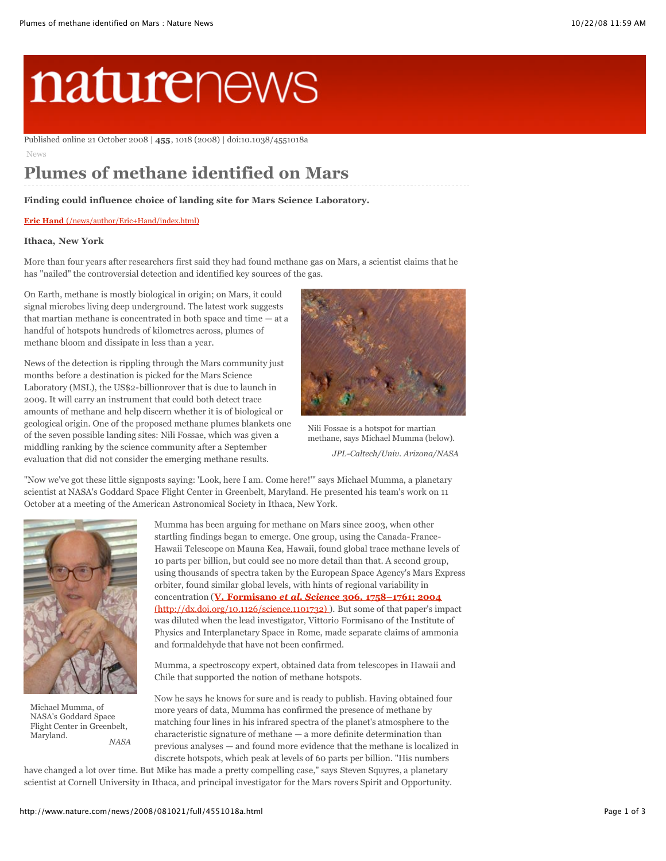# naturenews

Published online 21 October 2008 | **455**, 1018 (2008) | doi:10.1038/4551018a

News

# **Plumes of methane identified on Mars**

**Finding could influence choice of landing site for Mars Science Laboratory.**

#### **Eric Hand** [\(/news/author/Eric+Hand/index.html\)](http://www.nature.com/news/author/Eric+Hand/index.html)

#### **Ithaca, New York**

More than four years after researchers first said they had found methane gas on Mars, a scientist claims that he has "nailed" the controversial detection and identified key sources of the gas.

On Earth, methane is mostly biological in origin; on Mars, it could signal microbes living deep underground. The latest work suggests that martian methane is concentrated in both space and time — at a handful of hotspots hundreds of kilometres across, plumes of methane bloom and dissipate in less than a year.

News of the detection is rippling through the Mars community just months before a destination is picked for the Mars Science Laboratory (MSL), the US\$2-billionrover that is due to launch in 2009. It will carry an instrument that could both detect trace amounts of methane and help discern whether it is of biological or geological origin. One of the proposed methane plumes blankets one of the seven possible landing sites: Nili Fossae, which was given a middling ranking by the science community after a September evaluation that did not consider the emerging methane results.



*JPL-Caltech/Univ. Arizona/NASA* Nili Fossae is a hotspot for martian methane, says Michael Mumma (below).

"Now we've got these little signposts saying: 'Look, here I am. Come here!'" says Michael Mumma, a planetary scientist at NASA's Goddard Space Flight Center in Greenbelt, Maryland. He presented his team's work on 11 October at a meeting of the American Astronomical Society in Ithaca, New York.



*NASA* Michael Mumma, of NASA's Goddard Space Flight Center in Greenbelt, Maryland.

Mumma has been arguing for methane on Mars since 2003, when other startling findings began to emerge. One group, using the Canada-France-Hawaii Telescope on Mauna Kea, Hawaii, found global trace methane levels of 10 parts per billion, but could see no more detail than that. A second group, using thousands of spectra taken by the European Space Agency's Mars Express orbiter, found similar global levels, with hints of regional variability in concentration (**V. Formisano** *et al. Science* **306, 1758–1761; 2004** [\(http://dx.doi.org/10.1126/science.1101732\) \). But some of that paper's im](http://dx.doi.org/10.1126/science.1101732)pact was diluted when the lead investigator, Vittorio Formisano of the Institute of Physics and Interplanetary Space in Rome, made separate claims of ammonia and formaldehyde that have not been confirmed.

Mumma, a spectroscopy expert, obtained data from telescopes in Hawaii and Chile that supported the notion of methane hotspots.

Now he says he knows for sure and is ready to publish. Having obtained four more years of data, Mumma has confirmed the presence of methane by matching four lines in his infrared spectra of the planet's atmosphere to the characteristic signature of methane — a more definite determination than previous analyses — and found more evidence that the methane is localized in discrete hotspots, which peak at levels of 60 parts per billion. "His numbers

have changed a lot over time. But Mike has made a pretty compelling case," says Steven Squyres, a planetary scientist at Cornell University in Ithaca, and principal investigator for the Mars rovers Spirit and Opportunity.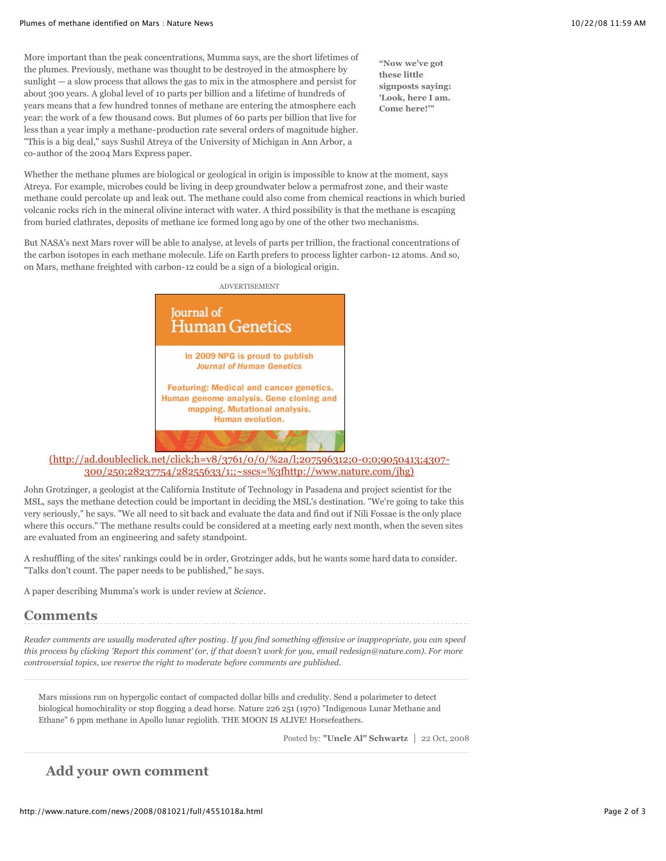More important than the peak concentrations, Mumma says, are the short lifetimes of the plumes. Previously, methane was thought to be destroyed in the atmosphere by sunlight — a slow process that allows the gas to mix in the atmosphere and persist for about 300 years. A global level of 10 parts per billion and a lifetime of hundreds of years means that a few hundred tonnes of methane are entering the atmosphere each year: the work of a few thousand cows. But plumes of 60 parts per billion that live for less than a year imply a methane-production rate several orders of magnitude higher. "This is a big deal," says Sushil Atreya of the University of Michigan in Ann Arbor, a co-author of the 2004 Mars Express paper.

**"Now we've got these little signposts saying: 'Look, here I am. Come here!'"**

Whether the methane plumes are biological or geological in origin is impossible to know at the moment, says Atreya. For example, microbes could be living in deep groundwater below a permafrost zone, and their waste methane could percolate up and leak out. The methane could also come from chemical reactions in which buried volcanic rocks rich in the mineral olivine interact with water. A third possibility is that the methane is escaping from buried clathrates, deposits of methane ice formed long ago by one of the other two mechanisms.

But NASA's next Mars rover will be able to analyse, at levels of parts per trillion, the fractional concentrations of the carbon isotopes in each methane molecule. Life on Earth prefers to process lighter carbon-12 atoms. And so, on Mars, methane freighted with carbon-12 could be a sign of a biological origin.



[\(http://ad.doubleclick.net/click;h=v8/3761/0/0/%2a/l;207596312;0-0;0;9050413;4307-](http://ad.doubleclick.net/click;h=v8/3761/0/0/%2a/l;207596312;0-0;0;9050413;4307-300/250;28237754/28255633/1;;~sscs=%3fhttp://www.nature.com/jhg) 300/250;28237754/28255633/1;;~sscs=%3fhttp://www.nature.com/jhg)

John Grotzinger, a geologist at the California Institute of Technology in Pasadena and project scientist for the MSL, says the methane detection could be important in deciding the MSL's destination. "We're going to take this very seriously," he says. "We all need to sit back and evaluate the data and find out if Nili Fossae is the only place where this occurs." The methane results could be considered at a meeting early next month, when the seven sites are evaluated from an engineering and safety standpoint.

A reshuffling of the sites' rankings could be in order, Grotzinger adds, but he wants some hard data to consider. "Talks don't count. The paper needs to be published," he says.

A paper describing Mumma's work is under review at *Science*.

## **Comments**

*Reader comments are usually moderated after posting. If you find something offensive or inappropriate, you can speed this process by clicking 'Report this comment' (or, if that doesn't work for you, email redesign@nature.com). For more controversial topics, we reserve the right to moderate before comments are published.*

Mars missions run on hypergolic contact of compacted dollar bills and credulity. Send a polarimeter to detect biological homochirality or stop flogging a dead horse. Nature 226 251 (1970) "Indigenous Lunar Methane and Ethane" 6 ppm methane in Apollo lunar regiolith. THE MOON IS ALIVE! Horsefeathers.

Posted by: "Uncle Al" Schwartz | 22 Oct, 2008

### **Add your own comment**